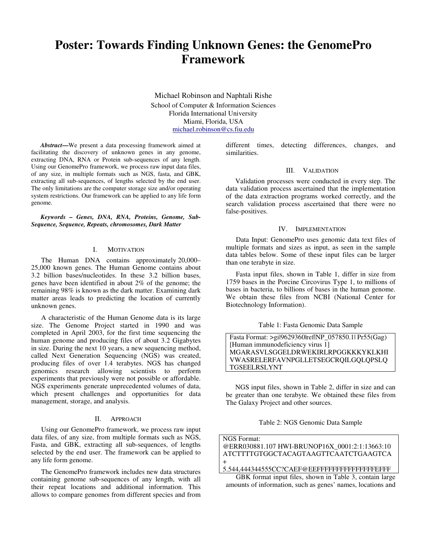# **Poster: Towards Finding Unknown Genes: the GenomePro Framework**

Michael Robinson and Naphtali Rishe School of Computer & Information Sciences Florida International University Miami, Florida, USA michael.robinson@cs.fiu.edu

*Abstract***—**We present a data processing framework aimed at facilitating the discovery of unknown genes in any genome, extracting DNA, RNA or Protein sub-sequences of any length. Using our GenomePro framework, we process raw input data files, of any size, in multiple formats such as NGS, fasta, and GBK, extracting all sub-sequences, of lengths selected by the end user. The only limitations are the computer storage size and/or operating system restrictions. Our framework can be applied to any life form genome.

*Keywords – Genes, DNA, RNA, Proteins, Genome, Sub-Sequence, Sequence, Repeats, chromosomes, Dark Matter* 

### I. MOTIVATION

The Human DNA contains approximately 20,000– 25,000 known genes. The Human Genome contains about 3.2 billion bases/nucleotides. In these 3.2 billion bases, genes have been identified in about 2% of the genome; the remaining 98% is known as the dark matter. Examining dark matter areas leads to predicting the location of currently unknown genes.

A characteristic of the Human Genome data is its large size. The Genome Project started in 1990 and was completed in April 2003, for the first time sequencing the human genome and producing files of about 3.2 Gigabytes in size. During the next 10 years, a new sequencing method, called Next Generation Sequencing (NGS) was created, producing files of over 1.4 terabytes. NGS has changed genomics research allowing scientists to perform experiments that previously were not possible or affordable. NGS experiments generate unprecedented volumes of data, which present challenges and opportunities for data management, storage, and analysis.

#### II. APPROACH

Using our GenomePro framework, we process raw input data files, of any size, from multiple formats such as NGS, Fasta, and GBK, extracting all sub-sequences, of lengths selected by the end user. The framework can be applied to any life form genome.

The GenomePro framework includes new data structures containing genome sub-sequences of any length, with all their repeat locations and additional information. This allows to compare genomes from different species and from different times, detecting differences, changes, and similarities.

#### III. VALIDATION

Validation processes were conducted in every step. The data validation process ascertained that the implementation of the data extraction programs worked correctly, and the search validation process ascertained that there were no false-positives.

#### IV. IMPLEMENTATION

Data Input: GenomePro uses genomic data text files of multiple formats and sizes as input, as seen in the sample data tables below. Some of these input files can be larger than one terabyte in size.

Fasta input files, shown in Table 1, differ in size from 1759 bases in the Porcine Circovirus Type 1, to millions of bases in bacteria, to billions of bases in the human genome. We obtain these files from NCBI (National Center for Biotechnology Information).

#### Table 1: Fasta Genomic Data Sample

Fasta Format: >gi|9629360|ref|NP\_057850.1| Pr55(Gag) [Human immunodeficiency virus 1] MGARASVLSGGELDRWEKIRLRPGGKKKYKLKHI VWASRELERFAVNPGLLETSEGCRQILGQLQPSLQ TGSEELRSLYNT

NGS input files, shown in Table 2, differ in size and can be greater than one terabyte. We obtained these files from The Galaxy Project and other sources.

Table 2: NGS Genomic Data Sample

NGS Format: @ERR030881.107 HWI-BRUNOP16X\_0001:2:1:13663:10 ATCTTTTGTGGCTACAGTAAGTTCAATCTGAAGTCA + 5.544,444344555CC?CAEF@EEFFFFFFFFFFFFFFFEFFF

GBK format input files, shown in Table 3, contain large amounts of information, such as genes' names, locations and